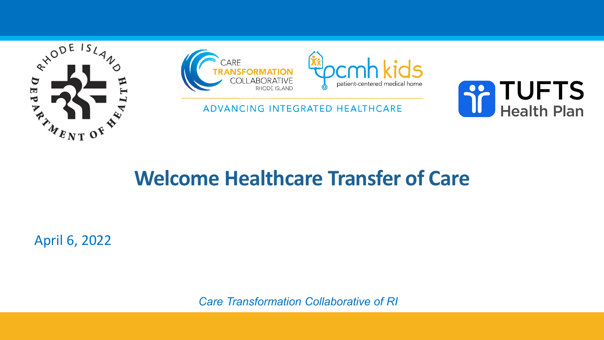



ADVANCING INTEGRATED HEALTHCARE



### **Welcome Healthcare Transfer of Care**

April 6, 2022

*Care Transformation Collaborative of RI*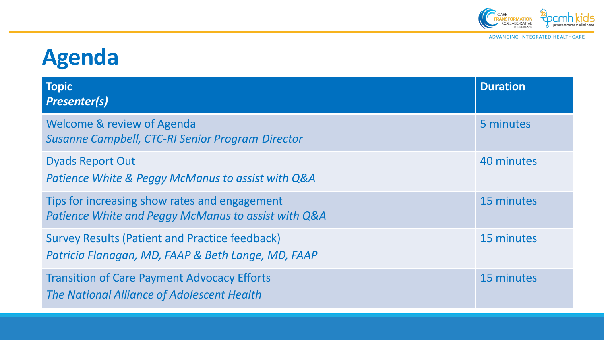

ADVANCING INTEGRATED HEALTHCARE

# **Agenda**

| <b>Topic</b><br><b>Presenter(s)</b>                                                                         | <b>Duration</b> |
|-------------------------------------------------------------------------------------------------------------|-----------------|
| Welcome & review of Agenda<br><b>Susanne Campbell, CTC-RI Senior Program Director</b>                       | 5 minutes       |
| <b>Dyads Report Out</b><br>Patience White & Peggy McManus to assist with Q&A                                | 40 minutes      |
| Tips for increasing show rates and engagement<br>Patience White and Peggy McManus to assist with Q&A        | 15 minutes      |
| <b>Survey Results (Patient and Practice feedback)</b><br>Patricia Flanagan, MD, FAAP & Beth Lange, MD, FAAP | 15 minutes      |
| <b>Transition of Care Payment Advocacy Efforts</b><br>The National Alliance of Adolescent Health            | 15 minutes      |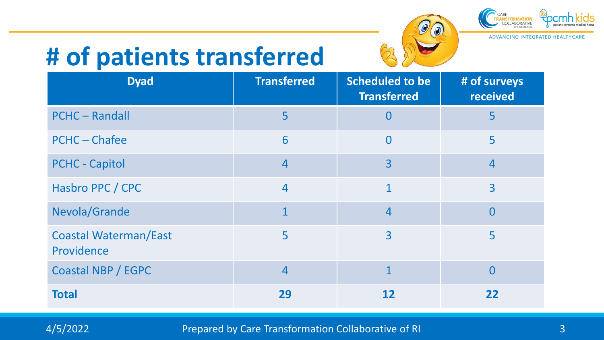# **# of patients transferred**



 $\mathscr{O}$ 

ADVANCING INTEGRATED HEALTHCARE

| <b>Dyad</b>                                | <b>Transferred</b> | <b>Scheduled to be</b><br><b>Transferred</b> | # of surveys<br>received |
|--------------------------------------------|--------------------|----------------------------------------------|--------------------------|
| <b>PCHC-Randall</b>                        | 5                  | $\Omega$                                     | 5                        |
| <b>PCHC-Chafee</b>                         | 6                  | $\Omega$                                     | 5                        |
| <b>PCHC - Capitol</b>                      | $\overline{4}$     | 3                                            | $\overline{4}$           |
| Hasbro PPC / CPC                           | $\overline{4}$     | $\mathbf 1$                                  | 3                        |
| Nevola/Grande                              | $\mathbf{1}$       | $\overline{4}$                               | $\Omega$                 |
| <b>Coastal Waterman/East</b><br>Providence | 5                  | $\overline{3}$                               | 5                        |
| <b>Coastal NBP / EGPC</b>                  | $\overline{4}$     | $\mathbf{1}$                                 | $\Omega$                 |
| <b>Total</b>                               | 29                 | 12                                           | 22                       |

A/5/2022 **Prepared by Care Transformation Collaborative of RI 3** Also and 3 and 3 Also and 3 and 3 and 3 and 3 and 3 and 3 and 3 and 3 and 3 and 3 and 3 and 3 and 3 and 3 and 3 and 3 and 3 and 3 and 3 and 3 and 3 and 3 a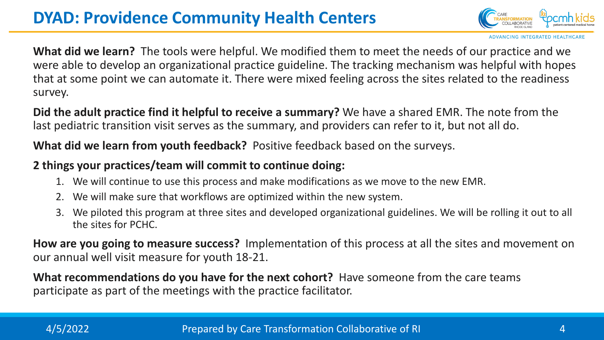### **DYAD: Providence Community Health Centers**



ADVANCING INTEGRATED HEALTHCA

**What did we learn?** The tools were helpful. We modified them to meet the needs of our practice and we were able to develop an organizational practice guideline. The tracking mechanism was helpful with hopes that at some point we can automate it. There were mixed feeling across the sites related to the readiness survey.

**Did the adult practice find it helpful to receive a summary?** We have a shared EMR. The note from the last pediatric transition visit serves as the summary, and providers can refer to it, but not all do.

**What did we learn from youth feedback?** Positive feedback based on the surveys.

### **2 things your practices/team will commit to continue doing:**

- 1. We will continue to use this process and make modifications as we move to the new EMR.
- 2. We will make sure that workflows are optimized within the new system.
- 3. We piloted this program at three sites and developed organizational guidelines. We will be rolling it out to all the sites for PCHC.

**How are you going to measure success?** Implementation of this process at all the sites and movement on our annual well visit measure for youth 18-21.

**What recommendations do you have for the next cohort?** Have someone from the care teams participate as part of the meetings with the practice facilitator.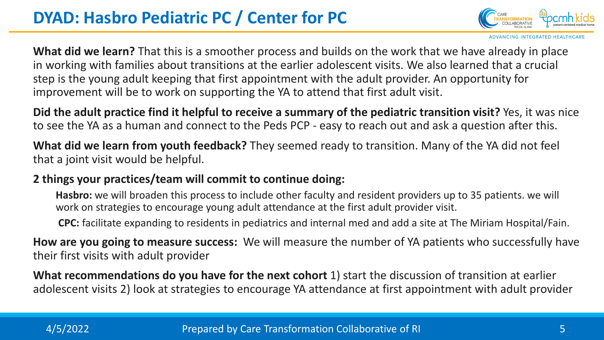

**CING INTEGRATED HEALT** 

**What did we learn?** That this is a smoother process and builds on the work that we have already in place in working with families about transitions at the earlier adolescent visits. We also learned that a crucial step is the young adult keeping that first appointment with the adult provider. An opportunity for improvement will be to work on supporting the YA to attend that first adult visit.

**Did the adult practice find it helpful to receive a summary of the pediatric transition visit?** Yes, it was nice to see the YA as a human and connect to the Peds PCP - easy to reach out and ask a question after this.

**What did we learn from youth feedback?** They seemed ready to transition. Many of the YA did not feel that a joint visit would be helpful.

### **2 things your practices/team will commit to continue doing:**

**Hasbro:** we will broaden this process to include other faculty and resident providers up to 35 patients. we will work on strategies to encourage young adult attendance at the first adult provider visit.

**CPC:** facilitate expanding to residents in pediatrics and internal med and add a site at The Miriam Hospital/Fain.

**How are you going to measure success:** We will measure the number of YA patients who successfully have their first visits with adult provider

**What recommendations do you have for the next cohort** 1) start the discussion of transition at earlier adolescent visits 2) look at strategies to encourage YA attendance at first appointment with adult provider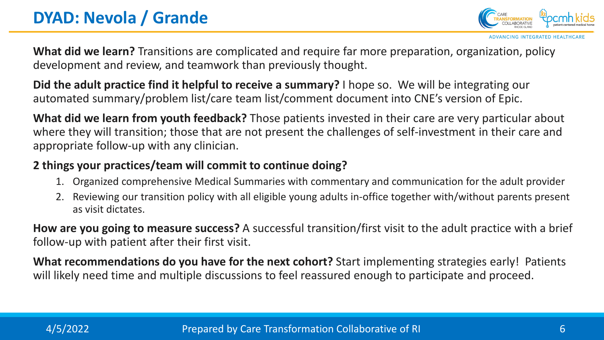**ADVANCING INTEGRATED HEALTHCAR** 

**What did we learn?** Transitions are complicated and require far more preparation, organization, policy development and review, and teamwork than previously thought.

**Did the adult practice find it helpful to receive a summary?** I hope so. We will be integrating our automated summary/problem list/care team list/comment document into CNE's version of Epic.

**What did we learn from youth feedback?** Those patients invested in their care are very particular about where they will transition; those that are not present the challenges of self-investment in their care and appropriate follow-up with any clinician.

### **2 things your practices/team will commit to continue doing?**

- 1. Organized comprehensive Medical Summaries with commentary and communication for the adult provider
- 2. Reviewing our transition policy with all eligible young adults in-office together with/without parents present as visit dictates.

**How are you going to measure success?** A successful transition/first visit to the adult practice with a brief follow-up with patient after their first visit.

**What recommendations do you have for the next cohort?** Start implementing strategies early! Patients will likely need time and multiple discussions to feel reassured enough to participate and proceed.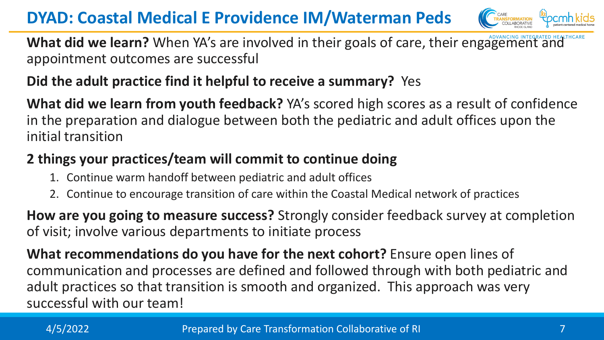**DYAD: Coastal Medical E Providence IM/Waterman Peds**



What did we learn? When YA's are involved in their goals of care, their engagement and appointment outcomes are successful

### **Did the adult practice find it helpful to receive a summary?** Yes

**What did we learn from youth feedback?** YA's scored high scores as a result of confidence in the preparation and dialogue between both the pediatric and adult offices upon the initial transition

### **2 things your practices/team will commit to continue doing**

- 1. Continue warm handoff between pediatric and adult offices
- 2. Continue to encourage transition of care within the Coastal Medical network of practices

**How are you going to measure success?** Strongly consider feedback survey at completion of visit; involve various departments to initiate process

**What recommendations do you have for the next cohort?** Ensure open lines of communication and processes are defined and followed through with both pediatric and adult practices so that transition is smooth and organized. This approach was very successful with our team!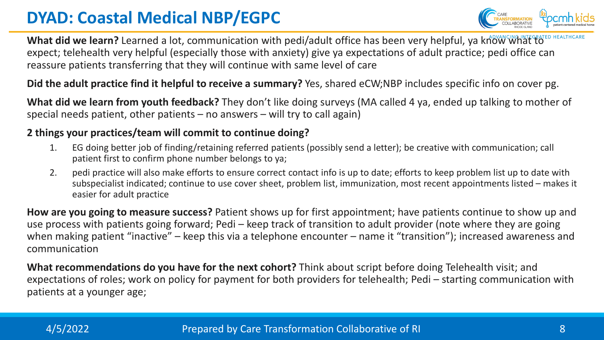### **DYAD: Coastal Medical NBP/EGPC**



What did we learn? Learned a lot, communication with pedi/adult office has been very helpful, ya know what to expect; telehealth very helpful (especially those with anxiety) give ya expectations of adult practice; pedi office can reassure patients transferring that they will continue with same level of care

**Did the adult practice find it helpful to receive a summary?** Yes, shared eCW;NBP includes specific info on cover pg.

**What did we learn from youth feedback?** They don't like doing surveys (MA called 4 ya, ended up talking to mother of special needs patient, other patients – no answers – will try to call again)

#### **2 things your practices/team will commit to continue doing?**

- 1. EG doing better job of finding/retaining referred patients (possibly send a letter); be creative with communication; call patient first to confirm phone number belongs to ya;
- 2. pedi practice will also make efforts to ensure correct contact info is up to date; efforts to keep problem list up to date with subspecialist indicated; continue to use cover sheet, problem list, immunization, most recent appointments listed – makes it easier for adult practice

**How are you going to measure success?** Patient shows up for first appointment; have patients continue to show up and use process with patients going forward; Pedi – keep track of transition to adult provider (note where they are going when making patient "inactive" – keep this via a telephone encounter – name it "transition"); increased awareness and communication

**What recommendations do you have for the next cohort?** Think about script before doing Telehealth visit; and expectations of roles; work on policy for payment for both providers for telehealth; Pedi – starting communication with patients at a younger age;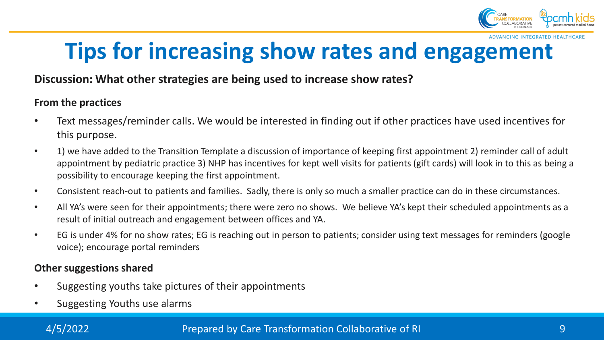

**ADVANCING INTEGRATED HEALTHCAR** 

## **Tips for increasing show rates and engagement**

#### **Discussion: What other strategies are being used to increase show rates?**

#### **From the practices**

- Text messages/reminder calls. We would be interested in finding out if other practices have used incentives for this purpose.
- 1) we have added to the Transition Template a discussion of importance of keeping first appointment 2) reminder call of adult appointment by pediatric practice 3) NHP has incentives for kept well visits for patients (gift cards) will look in to this as being a possibility to encourage keeping the first appointment.
- Consistent reach-out to patients and families. Sadly, there is only so much a smaller practice can do in these circumstances.
- All YA's were seen for their appointments; there were zero no shows. We believe YA's kept their scheduled appointments as a result of initial outreach and engagement between offices and YA.
- EG is under 4% for no show rates; EG is reaching out in person to patients; consider using text messages for reminders (google voice); encourage portal reminders

#### **Other suggestions shared**

- Suggesting youths take pictures of their appointments
- Suggesting Youths use alarms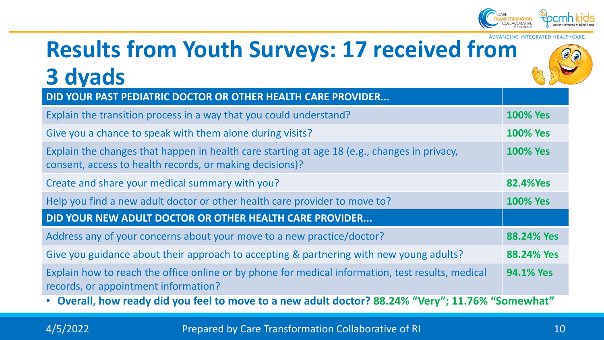

### **ADVANCING INTEGRATED HEALTHCAR Results from Youth Surveys: 17 received from 3 dyads**

| DID YOUR PAST PEDIATRIC DOCTOR OR OTHER HEALTH CARE PROVIDER                                                                                             |                  |  |  |
|----------------------------------------------------------------------------------------------------------------------------------------------------------|------------------|--|--|
| Explain the transition process in a way that you could understand?                                                                                       | <b>100% Yes</b>  |  |  |
| Give you a chance to speak with them alone during visits?                                                                                                | <b>100% Yes</b>  |  |  |
| Explain the changes that happen in health care starting at age 18 (e.g., changes in privacy,<br>consent, access to health records, or making decisions)? | <b>100% Yes</b>  |  |  |
| Create and share your medical summary with you?                                                                                                          | <b>82.4%Yes</b>  |  |  |
| Help you find a new adult doctor or other health care provider to move to?                                                                               | <b>100% Yes</b>  |  |  |
| DID YOUR NEW ADULT DOCTOR OR OTHER HEALTH CARE PROVIDER                                                                                                  |                  |  |  |
| Address any of your concerns about your move to a new practice/doctor?                                                                                   | 88.24% Yes       |  |  |
| Give you guidance about their approach to accepting & partnering with new young adults?                                                                  | 88.24% Yes       |  |  |
| Explain how to reach the office online or by phone for medical information, test results, medical<br>records, or appointment information?                | <b>94.1% Yes</b> |  |  |
| • Overall, how ready did you feel to move to a new adult doctor? 88.24% "Very"; 11.76% "Somewhat"                                                        |                  |  |  |

A/5/2022 **Prepared by Care Transformation Collaborative of RI 10**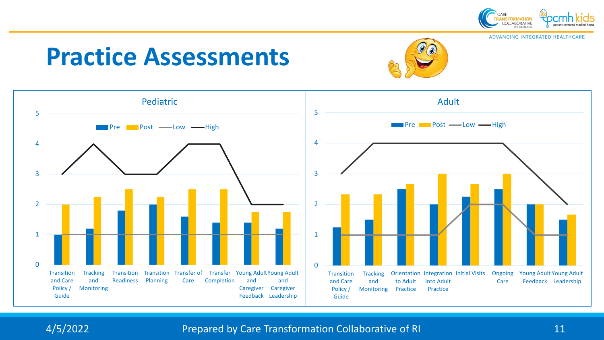

ADVANCING INTEGRATED HEALTHCARE

# **Practice Assessments**





A/5/2022 **Prepared by Care Transformation Collaborative of RI** 11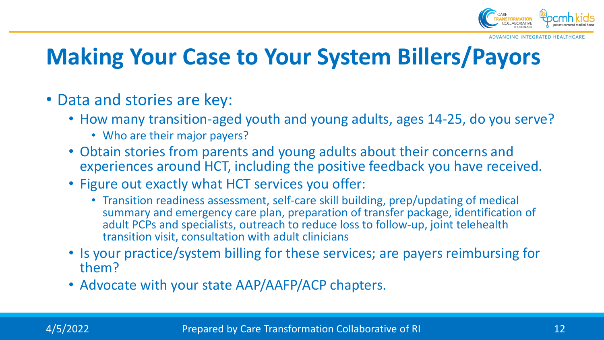

**ADVANCING INTEGRATED HEALTHCA** 

## **Making Your Case to Your System Billers/Payors**

- Data and stories are key:
	- How many transition-aged youth and young adults, ages 14-25, do you serve?
		- Who are their major payers?
	- Obtain stories from parents and young adults about their concerns and experiences around HCT, including the positive feedback you have received.
	- Figure out exactly what HCT services you offer:
		- Transition readiness assessment, self-care skill building, prep/updating of medical summary and emergency care plan, preparation of transfer package, identification of adult PCPs and specialists, outreach to reduce loss to follow-up, joint telehealth transition visit, consultation with adult clinicians
	- Is your practice/system billing for these services; are payers reimbursing for them?
	- Advocate with your state AAP/AAFP/ACP chapters.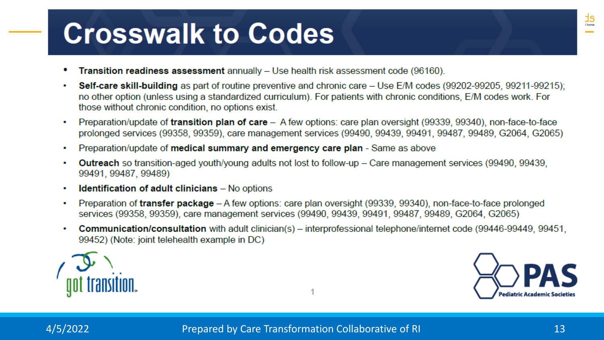# **Crosswalk to Codes**

- **Transition readiness assessment** annually Use health risk assessment code (96160).
- **Self-care skill-building** as part of routine preventive and chronic care Use E/M codes (99202-99205, 99211-99215); ٠ no other option (unless using a standardized curriculum). For patients with chronic conditions, E/M codes work. For those without chronic condition, no options exist.
- Preparation/update of transition plan of care A few options: care plan oversight (99339, 99340), non-face-to-face ۰ prolonged services (99358, 99359), care management services (99490, 99439, 99491, 99487, 99489, G2064, G2065)
- Preparation/update of medical summary and emergency care plan Same as above ۰
- **Outreach** so transition-aged youth/young adults not lost to follow-up Care management services (99490, 99439,  $\bullet$ 99491, 99487, 99489)
- **Identification of adult clinicians** No options ٠
- Preparation of transfer package A few options: care plan oversight (99339, 99340), non-face-to-face prolonged  $\bullet$ services (99358, 99359), care management services (99490, 99439, 99491, 99487, 99489, G2064, G2065)
- **Communication/consultation** with adult clinician(s) interprofessional telephone/internet code (99446-99449, 99451, 99452) (Note: joint telehealth example in DC)



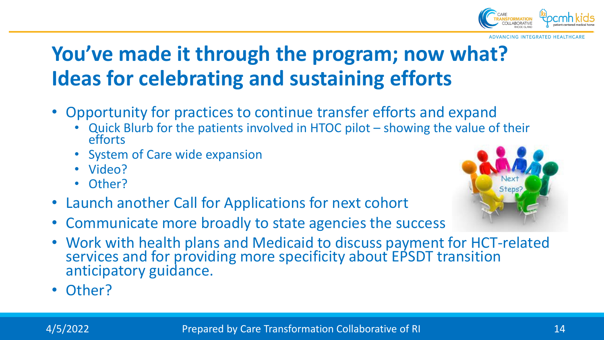

**ADVANCING INTEGRATED HEALTHCAR** 

## **You've made it through the program; now what? Ideas for celebrating and sustaining efforts**

- Opportunity for practices to continue transfer efforts and expand
	- Quick Blurb for the patients involved in HTOC pilot showing the value of their efforts
	- System of Care wide expansion
	- Video?
	- Other?
- Launch another Call for Applications for next cohort
- Communicate more broadly to state agencies the success
- Work with health plans and Medicaid to discuss payment for HCT-related services and for providing more specificity about EPSDT transition anticipatory guidance.
- Other?